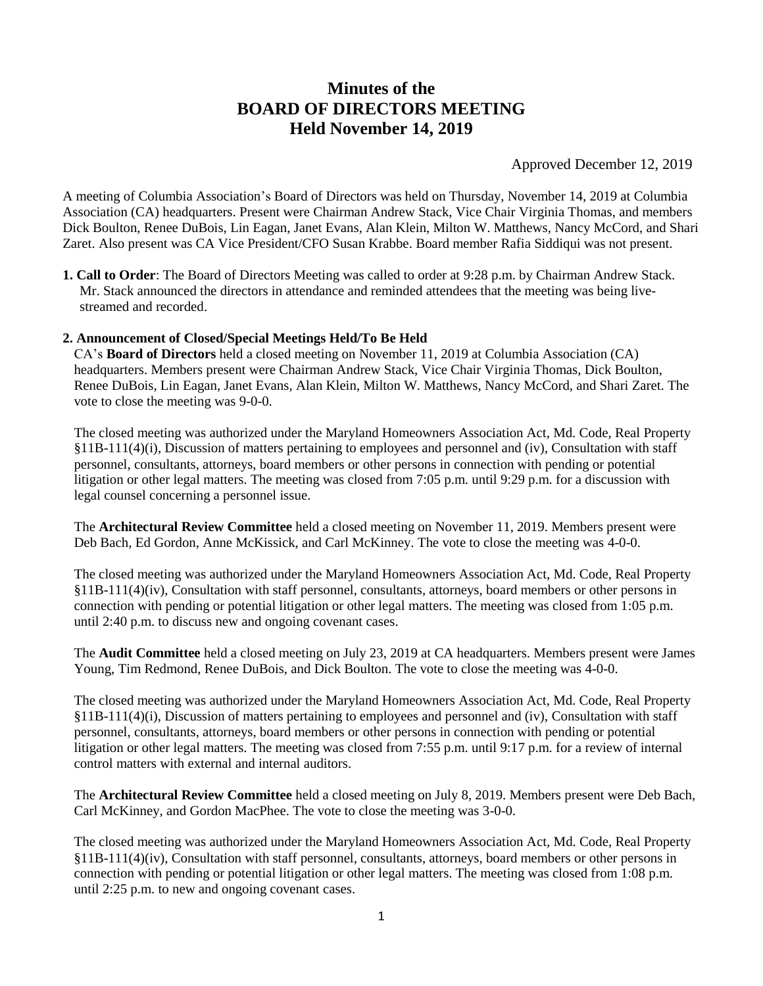# **Minutes of the BOARD OF DIRECTORS MEETING Held November 14, 2019**

Approved December 12, 2019

A meeting of Columbia Association's Board of Directors was held on Thursday, November 14, 2019 at Columbia Association (CA) headquarters. Present were Chairman Andrew Stack, Vice Chair Virginia Thomas, and members Dick Boulton, Renee DuBois, Lin Eagan, Janet Evans, Alan Klein, Milton W. Matthews, Nancy McCord, and Shari Zaret. Also present was CA Vice President/CFO Susan Krabbe. Board member Rafia Siddiqui was not present.

**1. Call to Order**: The Board of Directors Meeting was called to order at 9:28 p.m. by Chairman Andrew Stack. Mr. Stack announced the directors in attendance and reminded attendees that the meeting was being livestreamed and recorded.

## **2. Announcement of Closed/Special Meetings Held/To Be Held**

CA's **Board of Directors** held a closed meeting on November 11, 2019 at Columbia Association (CA) headquarters. Members present were Chairman Andrew Stack, Vice Chair Virginia Thomas, Dick Boulton, Renee DuBois, Lin Eagan, Janet Evans, Alan Klein, Milton W. Matthews, Nancy McCord, and Shari Zaret. The vote to close the meeting was 9-0-0.

The closed meeting was authorized under the Maryland Homeowners Association Act, Md. Code, Real Property §11B-111(4)(i), Discussion of matters pertaining to employees and personnel and (iv), Consultation with staff personnel, consultants, attorneys, board members or other persons in connection with pending or potential litigation or other legal matters. The meeting was closed from 7:05 p.m. until 9:29 p.m. for a discussion with legal counsel concerning a personnel issue.

The **Architectural Review Committee** held a closed meeting on November 11, 2019. Members present were Deb Bach, Ed Gordon, Anne McKissick, and Carl McKinney. The vote to close the meeting was 4-0-0.

The closed meeting was authorized under the Maryland Homeowners Association Act, Md. Code, Real Property §11B-111(4)(iv), Consultation with staff personnel, consultants, attorneys, board members or other persons in connection with pending or potential litigation or other legal matters. The meeting was closed from 1:05 p.m. until 2:40 p.m. to discuss new and ongoing covenant cases.

The **Audit Committee** held a closed meeting on July 23, 2019 at CA headquarters. Members present were James Young, Tim Redmond, Renee DuBois, and Dick Boulton. The vote to close the meeting was 4-0-0.

The closed meeting was authorized under the Maryland Homeowners Association Act, Md. Code, Real Property §11B-111(4)(i), Discussion of matters pertaining to employees and personnel and (iv), Consultation with staff personnel, consultants, attorneys, board members or other persons in connection with pending or potential litigation or other legal matters. The meeting was closed from 7:55 p.m. until 9:17 p.m. for a review of internal control matters with external and internal auditors.

The **Architectural Review Committee** held a closed meeting on July 8, 2019. Members present were Deb Bach, Carl McKinney, and Gordon MacPhee. The vote to close the meeting was 3-0-0.

The closed meeting was authorized under the Maryland Homeowners Association Act, Md. Code, Real Property §11B-111(4)(iv), Consultation with staff personnel, consultants, attorneys, board members or other persons in connection with pending or potential litigation or other legal matters. The meeting was closed from 1:08 p.m. until 2:25 p.m. to new and ongoing covenant cases.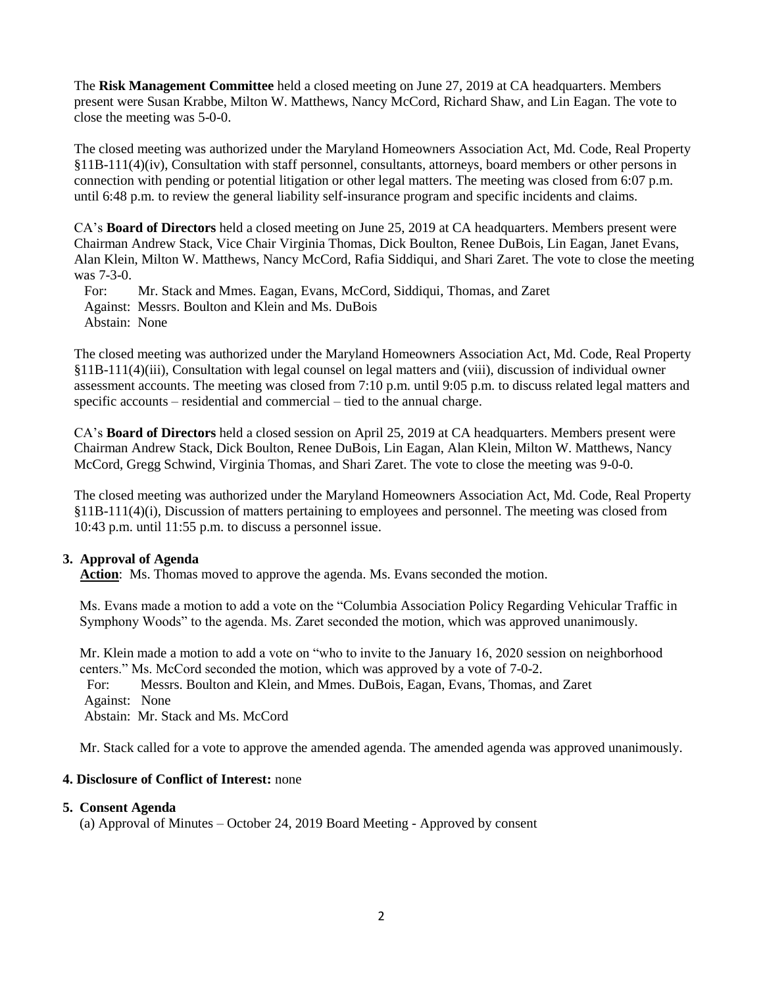The **Risk Management Committee** held a closed meeting on June 27, 2019 at CA headquarters. Members present were Susan Krabbe, Milton W. Matthews, Nancy McCord, Richard Shaw, and Lin Eagan. The vote to close the meeting was 5-0-0.

The closed meeting was authorized under the Maryland Homeowners Association Act, Md. Code, Real Property §11B-111(4)(iv), Consultation with staff personnel, consultants, attorneys, board members or other persons in connection with pending or potential litigation or other legal matters. The meeting was closed from 6:07 p.m. until 6:48 p.m. to review the general liability self-insurance program and specific incidents and claims.

CA's **Board of Directors** held a closed meeting on June 25, 2019 at CA headquarters. Members present were Chairman Andrew Stack, Vice Chair Virginia Thomas, Dick Boulton, Renee DuBois, Lin Eagan, Janet Evans, Alan Klein, Milton W. Matthews, Nancy McCord, Rafia Siddiqui, and Shari Zaret. The vote to close the meeting was 7-3-0.

 For: Mr. Stack and Mmes. Eagan, Evans, McCord, Siddiqui, Thomas, and Zaret Against: Messrs. Boulton and Klein and Ms. DuBois Abstain: None

The closed meeting was authorized under the Maryland Homeowners Association Act, Md. Code, Real Property §11B-111(4)(iii), Consultation with legal counsel on legal matters and (viii), discussion of individual owner assessment accounts. The meeting was closed from 7:10 p.m. until 9:05 p.m. to discuss related legal matters and specific accounts – residential and commercial – tied to the annual charge.

CA's **Board of Directors** held a closed session on April 25, 2019 at CA headquarters. Members present were Chairman Andrew Stack, Dick Boulton, Renee DuBois, Lin Eagan, Alan Klein, Milton W. Matthews, Nancy McCord, Gregg Schwind, Virginia Thomas, and Shari Zaret. The vote to close the meeting was 9-0-0.

The closed meeting was authorized under the Maryland Homeowners Association Act, Md. Code, Real Property §11B-111(4)(i), Discussion of matters pertaining to employees and personnel. The meeting was closed from 10:43 p.m. until 11:55 p.m. to discuss a personnel issue.

## **3. Approval of Agenda**

**Action**: Ms. Thomas moved to approve the agenda. Ms. Evans seconded the motion.

Ms. Evans made a motion to add a vote on the "Columbia Association Policy Regarding Vehicular Traffic in Symphony Woods" to the agenda. Ms. Zaret seconded the motion, which was approved unanimously.

Mr. Klein made a motion to add a vote on "who to invite to the January 16, 2020 session on neighborhood centers." Ms. McCord seconded the motion, which was approved by a vote of 7-0-2.

 For: Messrs. Boulton and Klein, and Mmes. DuBois, Eagan, Evans, Thomas, and Zaret Against: None Abstain: Mr. Stack and Ms. McCord

Mr. Stack called for a vote to approve the amended agenda. The amended agenda was approved unanimously.

### **4. Disclosure of Conflict of Interest:** none

#### **5. Consent Agenda**

(a) Approval of Minutes – October 24, 2019 Board Meeting - Approved by consent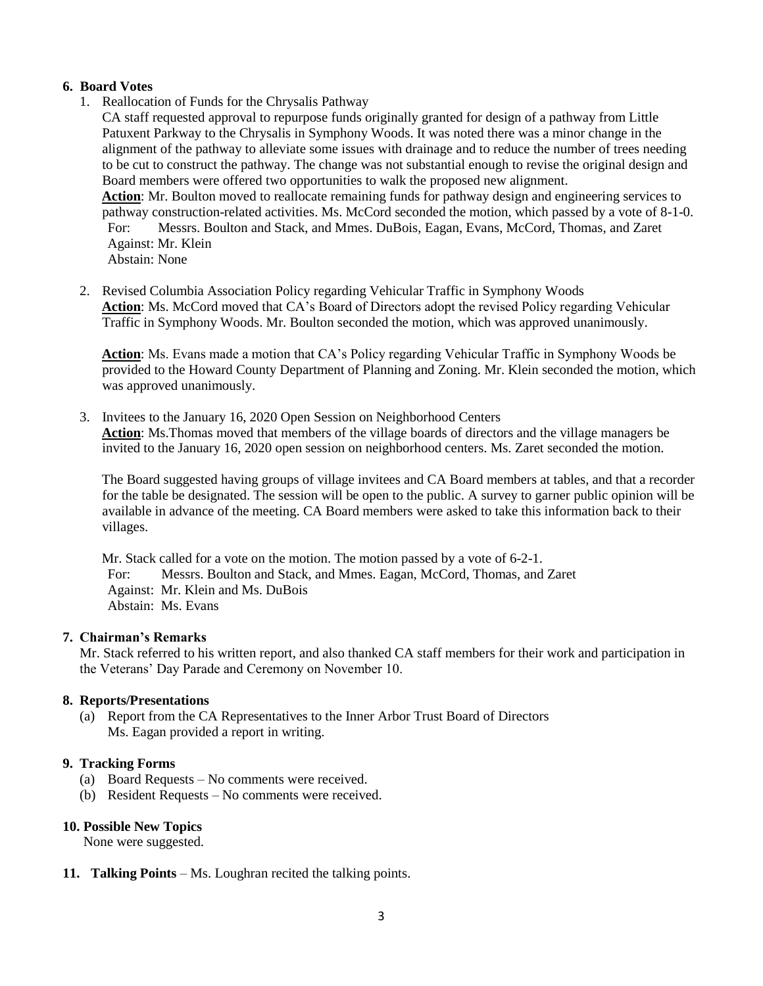## **6. Board Votes**

1. Reallocation of Funds for the Chrysalis Pathway

CA staff requested approval to repurpose funds originally granted for design of a pathway from Little Patuxent Parkway to the Chrysalis in Symphony Woods. It was noted there was a minor change in the alignment of the pathway to alleviate some issues with drainage and to reduce the number of trees needing to be cut to construct the pathway. The change was not substantial enough to revise the original design and Board members were offered two opportunities to walk the proposed new alignment. **Action**: Mr. Boulton moved to reallocate remaining funds for pathway design and engineering services to pathway construction-related activities. Ms. McCord seconded the motion, which passed by a vote of 8-1-0. For: Messrs. Boulton and Stack, and Mmes. DuBois, Eagan, Evans, McCord, Thomas, and Zaret Against: Mr. Klein Abstain: None

2. Revised Columbia Association Policy regarding Vehicular Traffic in Symphony Woods **Action**: Ms. McCord moved that CA's Board of Directors adopt the revised Policy regarding Vehicular Traffic in Symphony Woods. Mr. Boulton seconded the motion, which was approved unanimously.

**Action**: Ms. Evans made a motion that CA's Policy regarding Vehicular Traffic in Symphony Woods be provided to the Howard County Department of Planning and Zoning. Mr. Klein seconded the motion, which was approved unanimously.

3. Invitees to the January 16, 2020 Open Session on Neighborhood Centers **Action**: Ms.Thomas moved that members of the village boards of directors and the village managers be invited to the January 16, 2020 open session on neighborhood centers. Ms. Zaret seconded the motion.

The Board suggested having groups of village invitees and CA Board members at tables, and that a recorder for the table be designated. The session will be open to the public. A survey to garner public opinion will be available in advance of the meeting. CA Board members were asked to take this information back to their villages.

Mr. Stack called for a vote on the motion. The motion passed by a vote of 6-2-1. For: Messrs. Boulton and Stack, and Mmes. Eagan, McCord, Thomas, and Zaret Against: Mr. Klein and Ms. DuBois Abstain: Ms. Evans

### **7. Chairman's Remarks**

Mr. Stack referred to his written report, and also thanked CA staff members for their work and participation in the Veterans' Day Parade and Ceremony on November 10.

### **8. Reports/Presentations**

(a) Report from the CA Representatives to the Inner Arbor Trust Board of Directors Ms. Eagan provided a report in writing.

### **9. Tracking Forms**

- (a) Board Requests No comments were received.
- (b) Resident Requests No comments were received.

### **10. Possible New Topics**

None were suggested.

**11. Talking Points** – Ms. Loughran recited the talking points.